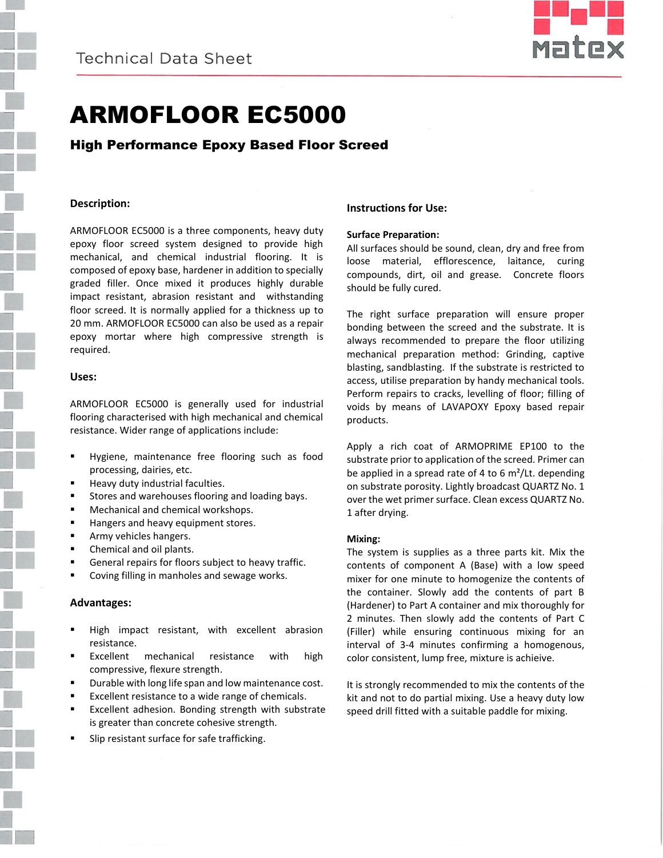

# ARMOFLOOR EC5000

High Performance Epoxy Based Floor Screed

# **Description:**

ARMOFLOOR EC5000 is a three components, heavy duty epoxy floor screed system designed to provide high mechanical, and chemical industrial flooring. It is composed of epoxy base, hardener in addition to specially graded filler. Once mixed it produces highly durable impact resistant, abrasion resistant and withstanding floor screed. It is normally applied for a thickness up to 20 mm. ARMOFLOOR EC5000 can also be used as a repair epoxy mortar where high compressive strength is required.

# **Uses:**

ARMOFLOOR EC5000 is generally used for industrial flooring characterised with high mechanical and chemical resistance. Wider range of applications include:

- Hygiene, maintenance free flooring such as food processing, dairies, etc.
- **Heavy duty industrial faculties.**
- **Stores and warehouses flooring and loading bays.**
- **Mechanical and chemical workshops.**
- Hangers and heavy equipment stores.
- **Army vehicles hangers.**
- **Chemical and oil plants.**
- **General repairs for floors subject to heavy traffic.**
- Coving filling in manholes and sewage works.

# **Advantages:**

- High impact resistant, with excellent abrasion resistance.
- Excellent mechanical resistance with high compressive, flexure strength.
- Durable with long life span and low maintenance cost.
- Excellent resistance to a wide range of chemicals.
- Excellent adhesion. Bonding strength with substrate is greater than concrete cohesive strength.
- Slip resistant surface for safe trafficking.

# **Instructions for Use:**

#### **Surface Preparation:**

All surfaces should be sound, clean, dry and free from loose material, efflorescence, laitance, curing compounds, dirt, oil and grease. Concrete floors should be fully cured.

The right surface preparation will ensure proper bonding between the screed and the substrate. It is always recommended to prepare the floor utilizing mechanical preparation method: Grinding, captive blasting, sandblasting. If the substrate is restricted to access, utilise preparation by handy mechanical tools. Perform repairs to cracks, levelling of floor; filling of voids by means of LAVAPOXY Epoxy based repair products.

Apply a rich coat of ARMOPRIME EP100 to the substrate prior to application of the screed. Primer can be applied in a spread rate of 4 to 6 m²/Lt. depending on substrate porosity. Lightly broadcast QUARTZ No. 1 over the wet primer surface. Clean excess QUARTZ No. 1 after drying.

# **Mixing:**

The system is supplies as a three parts kit. Mix the contents of component A (Base) with a low speed mixer for one minute to homogenize the contents of the container. Slowly add the contents of part B (Hardener) to Part A container and mix thoroughly for 2 minutes. Then slowly add the contents of Part C (Filler) while ensuring continuous mixing for an interval of 3-4 minutes confirming a homogenous, color consistent, lump free, mixture is achieive.

It is strongly recommended to mix the contents of the kit and not to do partial mixing. Use a heavy duty low speed drill fitted with a suitable paddle for mixing.